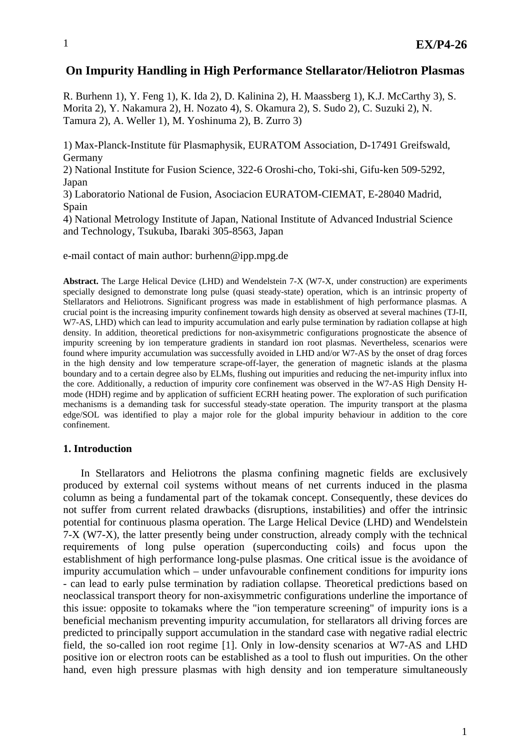# **On Impurity Handling in High Performance Stellarator/Heliotron Plasmas**

R. Burhenn 1), Y. Feng 1), K. Ida 2), D. Kalinina 2), H. Maassberg 1), K.J. McCarthy 3), S. Morita 2), Y. Nakamura 2), H. Nozato 4), S. Okamura 2), S. Sudo 2), C. Suzuki 2), N. Tamura 2), A. Weller 1), M. Yoshinuma 2), B. Zurro 3)

1) Max-Planck-Institute für Plasmaphysik, EURATOM Association, D-17491 Greifswald, Germany

2) National Institute for Fusion Science, 322-6 Oroshi-cho, Toki-shi, Gifu-ken 509-5292, Japan

3) Laboratorio National de Fusion, Asociacion EURATOM-CIEMAT, E-28040 Madrid, Spain

4) National Metrology Institute of Japan, National Institute of Advanced Industrial Science and Technology, Tsukuba, Ibaraki 305-8563, Japan

e-mail contact of main author: burhenn@ipp.mpg.de

**Abstract.** The Large Helical Device (LHD) and Wendelstein 7-X (W7-X, under construction) are experiments specially designed to demonstrate long pulse (quasi steady-state) operation, which is an intrinsic property of Stellarators and Heliotrons. Significant progress was made in establishment of high performance plasmas. A crucial point is the increasing impurity confinement towards high density as observed at several machines (TJ-II, W7-AS, LHD) which can lead to impurity accumulation and early pulse termination by radiation collapse at high density. In addition, theoretical predictions for non-axisymmetric configurations prognosticate the absence of impurity screening by ion temperature gradients in standard ion root plasmas. Nevertheless, scenarios were found where impurity accumulation was successfully avoided in LHD and/or W7-AS by the onset of drag forces in the high density and low temperature scrape-off-layer, the generation of magnetic islands at the plasma boundary and to a certain degree also by ELMs, flushing out impurities and reducing the net-impurity influx into the core. Additionally, a reduction of impurity core confinement was observed in the W7-AS High Density Hmode (HDH) regime and by application of sufficient ECRH heating power. The exploration of such purification mechanisms is a demanding task for successful steady-state operation. The impurity transport at the plasma edge/SOL was identified to play a major role for the global impurity behaviour in addition to the core confinement.

#### **1. Introduction**

In Stellarators and Heliotrons the plasma confining magnetic fields are exclusively produced by external coil systems without means of net currents induced in the plasma column as being a fundamental part of the tokamak concept. Consequently, these devices do not suffer from current related drawbacks (disruptions, instabilities) and offer the intrinsic potential for continuous plasma operation. The Large Helical Device (LHD) and Wendelstein 7-X (W7-X), the latter presently being under construction, already comply with the technical requirements of long pulse operation (superconducting coils) and focus upon the establishment of high performance long-pulse plasmas. One critical issue is the avoidance of impurity accumulation which – under unfavourable confinement conditions for impurity ions - can lead to early pulse termination by radiation collapse. Theoretical predictions based on neoclassical transport theory for non-axisymmetric configurations underline the importance of this issue: opposite to tokamaks where the "ion temperature screening" of impurity ions is a beneficial mechanism preventing impurity accumulation, for stellarators all driving forces are predicted to principally support accumulation in the standard case with negative radial electric field, the so-called ion root regime [1]. Only in low-density scenarios at W7-AS and LHD positive ion or electron roots can be established as a tool to flush out impurities. On the other hand, even high pressure plasmas with high density and ion temperature simultaneously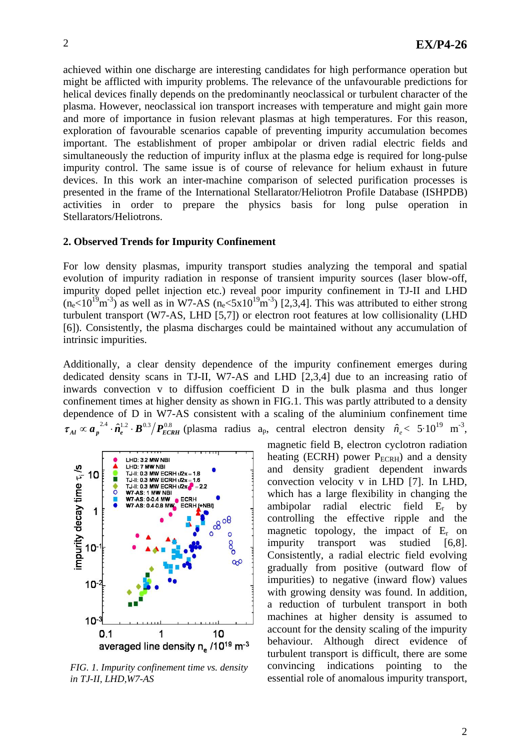achieved within one discharge are interesting candidates for high performance operation but might be afflicted with impurity problems. The relevance of the unfavourable predictions for helical devices finally depends on the predominantly neoclassical or turbulent character of the plasma. However, neoclassical ion transport increases with temperature and might gain more and more of importance in fusion relevant plasmas at high temperatures. For this reason, exploration of favourable scenarios capable of preventing impurity accumulation becomes important. The establishment of proper ambipolar or driven radial electric fields and simultaneously the reduction of impurity influx at the plasma edge is required for long-pulse impurity control. The same issue is of course of relevance for helium exhaust in future devices. In this work an inter-machine comparison of selected purification processes is presented in the frame of the International Stellarator/Heliotron Profile Database (ISHPDB) activities in order to prepare the physics basis for long pulse operation in Stellarators/Heliotrons.

#### **2. Observed Trends for Impurity Confinement**

For low density plasmas, impurity transport studies analyzing the temporal and spatial evolution of impurity radiation in response of transient impurity sources (laser blow-off, impurity doped pellet injection etc.) reveal poor impurity confinement in TJ-II and LHD  $(n_e<10^{19}m^{-3})$  as well as in W7-AS  $(n_e<5x10^{19}m^{-3})$  [2,3,4]. This was attributed to either strong turbulent transport (W7-AS, LHD [5,7]) or electron root features at low collisionality (LHD [6]). Consistently, the plasma discharges could be maintained without any accumulation of intrinsic impurities.

Additionally, a clear density dependence of the impurity confinement emerges during dedicated density scans in TJ-II, W7-AS and LHD [2,3,4] due to an increasing ratio of inwards convection v to diffusion coefficient D in the bulk plasma and thus longer confinement times at higher density as shown in FIG.1. This was partly attributed to a density dependence of D in W7-AS consistent with a scaling of the aluminium confinement time  $\tau_{Al} \propto a_p^{2.4} \cdot \hat{n}_e^{1.2} \cdot B^{0.3} / P_{ECRH}^{0.8}$  (plasma radius a<sub>p</sub>, central electron density  $\hat{n}_e$  < 5.10<sup>19</sup> m<sup>-3</sup>,



*FIG. 1. Impurity confinement time vs. density in TJ-II, LHD,W7-AS*

magnetic field B, electron cyclotron radiation heating (ECRH) power  $P_{ECRH}$ ) and a density and density gradient dependent inwards convection velocity v in LHD [7]. In LHD, which has a large flexibility in changing the ambipolar radial electric field Er by controlling the effective ripple and the magnetic topology, the impact of  $E_r$  on impurity transport was studied [6,8]. Consistently, a radial electric field evolving gradually from positive (outward flow of impurities) to negative (inward flow) values with growing density was found. In addition, a reduction of turbulent transport in both machines at higher density is assumed to account for the density scaling of the impurity behaviour. Although direct evidence of turbulent transport is difficult, there are some convincing indications pointing to the essential role of anomalous impurity transport,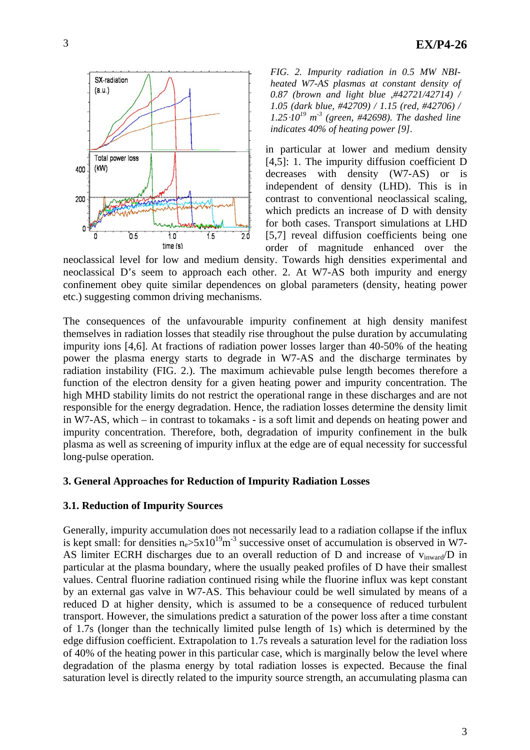

*FIG. 2. Impurity radiation in 0.5 MW NBIheated W7-AS plasmas at constant density of 0.87 (brown and light blue ,#42721/42714) / 1.05 (dark blue, #42709) / 1.15 (red, #42706) /*  $1.25 \cdot 10^{19}$  m<sup>-3</sup> (green, #42698). The dashed line *indicates 40% of heating power [9].* 

in particular at lower and medium density [4,5]: 1. The impurity diffusion coefficient D decreases with density (W7-AS) or is independent of density (LHD). This is in contrast to conventional neoclassical scaling, which predicts an increase of D with density for both cases. Transport simulations at LHD [5,7] reveal diffusion coefficients being one order of magnitude enhanced over the

neoclassical level for low and medium density. Towards high densities experimental and neoclassical D's seem to approach each other. 2. At W7-AS both impurity and energy confinement obey quite similar dependences on global parameters (density, heating power etc.) suggesting common driving mechanisms.

The consequences of the unfavourable impurity confinement at high density manifest themselves in radiation losses that steadily rise throughout the pulse duration by accumulating impurity ions [4,6]. At fractions of radiation power losses larger than 40-50% of the heating power the plasma energy starts to degrade in W7-AS and the discharge terminates by radiation instability (FIG. 2.). The maximum achievable pulse length becomes therefore a function of the electron density for a given heating power and impurity concentration. The high MHD stability limits do not restrict the operational range in these discharges and are not responsible for the energy degradation. Hence, the radiation losses determine the density limit in W7-AS, which – in contrast to tokamaks - is a soft limit and depends on heating power and impurity concentration. Therefore, both, degradation of impurity confinement in the bulk plasma as well as screening of impurity influx at the edge are of equal necessity for successful long-pulse operation.

### **3. General Approaches for Reduction of Impurity Radiation Losses**

### **3.1. Reduction of Impurity Sources**

Generally, impurity accumulation does not necessarily lead to a radiation collapse if the influx is kept small: for densities  $n_e > 5x10^{19} m^{-3}$  successive onset of accumulation is observed in W7-AS limiter ECRH discharges due to an overall reduction of D and increase of  $v_{\text{inward}}/D$  in particular at the plasma boundary, where the usually peaked profiles of D have their smallest values. Central fluorine radiation continued rising while the fluorine influx was kept constant by an external gas valve in W7-AS. This behaviour could be well simulated by means of a reduced D at higher density, which is assumed to be a consequence of reduced turbulent transport. However, the simulations predict a saturation of the power loss after a time constant of 1.7s (longer than the technically limited pulse length of 1s) which is determined by the edge diffusion coefficient. Extrapolation to 1.7s reveals a saturation level for the radiation loss of 40% of the heating power in this particular case, which is marginally below the level where degradation of the plasma energy by total radiation losses is expected. Because the final saturation level is directly related to the impurity source strength, an accumulating plasma can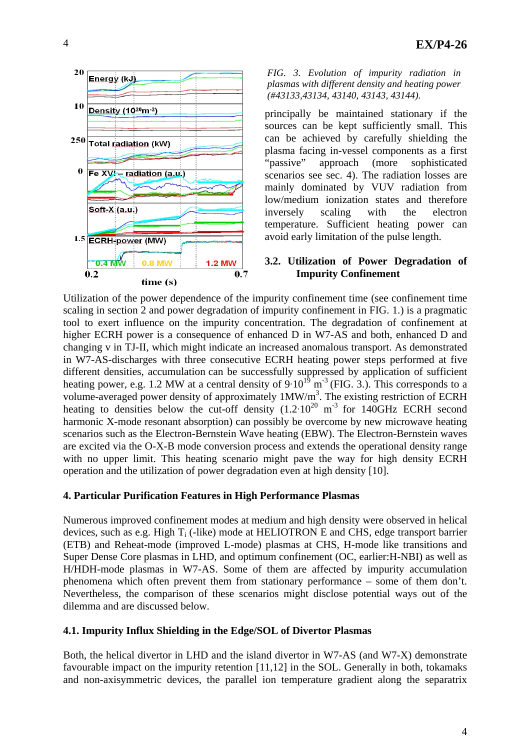

*FIG. 3. Evolution of impurity radiation in plasmas with different density and heating power (#43133,43134, 43140, 43143, 43144).* 

principally be maintained stationary if the sources can be kept sufficiently small. This can be achieved by carefully shielding the plasma facing in-vessel components as a first "passive" approach (more sophisticated scenarios see sec. 4). The radiation losses are mainly dominated by VUV radiation from low/medium ionization states and therefore inversely scaling with the electron temperature. Sufficient heating power can avoid early limitation of the pulse length.

## **3.2. Utilization of Power Degradation of Impurity Confinement**

Utilization of the power dependence of the impurity confinement time (see confinement time scaling in section 2 and power degradation of impurity confinement in FIG. 1.) is a pragmatic tool to exert influence on the impurity concentration. The degradation of confinement at higher ECRH power is a consequence of enhanced D in W7-AS and both, enhanced D and changing v in TJ-II, which might indicate an increased anomalous transport. As demonstrated in W7-AS-discharges with three consecutive ECRH heating power steps performed at five different densities, accumulation can be successfully suppressed by application of sufficient heating power, e.g. 1.2 MW at a central density of  $9.10^{19}$  m<sup>-3</sup> (FIG. 3.). This corresponds to a volume-averaged power density of approximately  $1MW/m<sup>3</sup>$ . The existing restriction of ECRH heating to densities below the cut-off density  $(1.2 \cdot 10^{20} \text{ m}^{-3}$  for 140GHz ECRH second harmonic X-mode resonant absorption) can possibly be overcome by new microwave heating scenarios such as the Electron-Bernstein Wave heating (EBW). The Electron-Bernstein waves are excited via the O-X-B mode conversion process and extends the operational density range with no upper limit. This heating scenario might pave the way for high density ECRH operation and the utilization of power degradation even at high density [10].

## **4. Particular Purification Features in High Performance Plasmas**

Numerous improved confinement modes at medium and high density were observed in helical devices, such as e.g. High  $T_i$  (-like) mode at HELIOTRON E and CHS, edge transport barrier (ETB) and Reheat-mode (improved L-mode) plasmas at CHS, H-mode like transitions and Super Dense Core plasmas in LHD, and optimum confinement (OC, earlier:H-NBI) as well as H/HDH-mode plasmas in W7-AS. Some of them are affected by impurity accumulation phenomena which often prevent them from stationary performance – some of them don't. Nevertheless, the comparison of these scenarios might disclose potential ways out of the dilemma and are discussed below.

# **4.1. Impurity Influx Shielding in the Edge/SOL of Divertor Plasmas**

Both, the helical divertor in LHD and the island divertor in W7-AS (and W7-X) demonstrate favourable impact on the impurity retention [11,12] in the SOL. Generally in both, tokamaks and non-axisymmetric devices, the parallel ion temperature gradient along the separatrix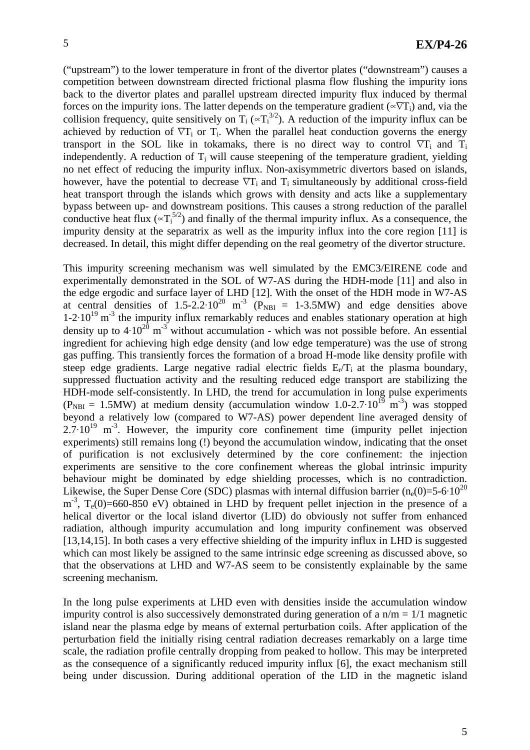("upstream") to the lower temperature in front of the divertor plates ("downstream") causes a competition between downstream directed frictional plasma flow flushing the impurity ions back to the divertor plates and parallel upstream directed impurity flux induced by thermal forces on the impurity ions. The latter depends on the temperature gradient ( $\propto \nabla T_i$ ) and, via the collision frequency, quite sensitively on  $T_i (\propto T_i^{3/2})$ . A reduction of the impurity influx can be achieved by reduction of  $\nabla T_i$  or  $T_i$ . When the parallel heat conduction governs the energy transport in the SOL like in tokamaks, there is no direct way to control  $\nabla T_i$  and  $T_i$ independently. A reduction of  $T_i$  will cause steepening of the temperature gradient, yielding no net effect of reducing the impurity influx. Non-axisymmetric divertors based on islands, however, have the potential to decrease  $\nabla T_i$  and  $T_i$  simultaneously by additional cross-field heat transport through the islands which grows with density and acts like a supplementary bypass between up- and downstream positions. This causes a strong reduction of the parallel conductive heat flux  $({}_{\infty}T_1^{5/2})$  and finally of the thermal impurity influx. As a consequence, the impurity density at the separatrix as well as the impurity influx into the core region [11] is decreased. In detail, this might differ depending on the real geometry of the divertor structure.

This impurity screening mechanism was well simulated by the EMC3/EIRENE code and experimentally demonstrated in the SOL of W7-AS during the HDH-mode [11] and also in the edge ergodic and surface layer of LHD [12]. With the onset of the HDH mode in W7-AS at central densities of  $1.5-2.2 \cdot 10^{20}$  m<sup>-3</sup> (P<sub>NBI</sub> = 1-3.5MW) and edge densities above  $1-2.10^{19}$  m<sup>-3</sup> the impurity influx remarkably reduces and enables stationary operation at high density up to  $4.10^{20}$  m<sup>-3</sup> without accumulation - which was not possible before. An essential ingredient for achieving high edge density (and low edge temperature) was the use of strong gas puffing. This transiently forces the formation of a broad H-mode like density profile with steep edge gradients. Large negative radial electric fields  $E_r/T_i$  at the plasma boundary, suppressed fluctuation activity and the resulting reduced edge transport are stabilizing the HDH-mode self-consistently. In LHD, the trend for accumulation in long pulse experiments  $(P_{NBI} = 1.5MW)$  at medium density (accumulation window 1.0-2.7 $\cdot 10^{19}$  m<sup>-3</sup>) was stopped beyond a relatively low (compared to W7-AS) power dependent line averaged density of  $2.7 \cdot 10^{19}$  m<sup>-3</sup>. However, the impurity core confinement time (impurity pellet injection experiments) still remains long (!) beyond the accumulation window, indicating that the onset of purification is not exclusively determined by the core confinement: the injection experiments are sensitive to the core confinement whereas the global intrinsic impurity behaviour might be dominated by edge shielding processes, which is no contradiction. Likewise, the Super Dense Core (SDC) plasmas with internal diffusion barrier  $(n_e(0)=5.6 \cdot 10^{20}$  $m<sup>-3</sup>$ , T<sub>e</sub>(0)=660-850 eV) obtained in LHD by frequent pellet injection in the presence of a helical divertor or the local island divertor (LID) do obviously not suffer from enhanced radiation, although impurity accumulation and long impurity confinement was observed [13,14,15]. In both cases a very effective shielding of the impurity influx in LHD is suggested which can most likely be assigned to the same intrinsic edge screening as discussed above, so that the observations at LHD and W7-AS seem to be consistently explainable by the same screening mechanism.

In the long pulse experiments at LHD even with densities inside the accumulation window impurity control is also successively demonstrated during generation of a  $n/m = 1/1$  magnetic island near the plasma edge by means of external perturbation coils. After application of the perturbation field the initially rising central radiation decreases remarkably on a large time scale, the radiation profile centrally dropping from peaked to hollow. This may be interpreted as the consequence of a significantly reduced impurity influx [6], the exact mechanism still being under discussion. During additional operation of the LID in the magnetic island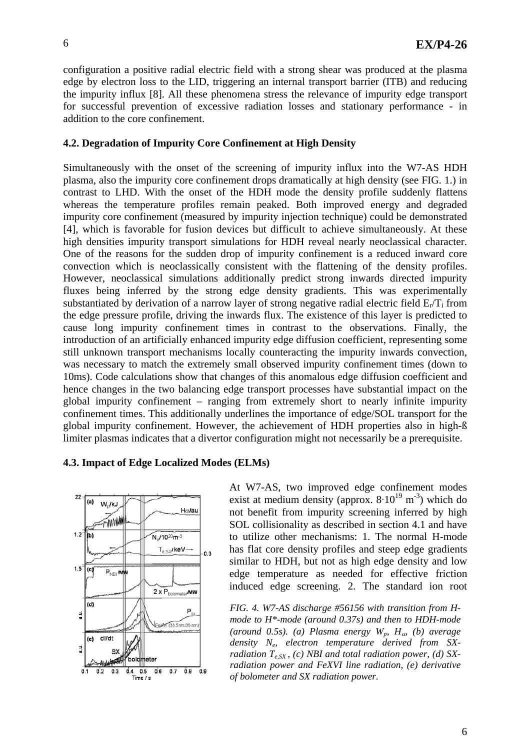configuration a positive radial electric field with a strong shear was produced at the plasma edge by electron loss to the LID, triggering an internal transport barrier (ITB) and reducing the impurity influx [8]. All these phenomena stress the relevance of impurity edge transport for successful prevention of excessive radiation losses and stationary performance - in addition to the core confinement.

## **4.2. Degradation of Impurity Core Confinement at High Density**

Simultaneously with the onset of the screening of impurity influx into the W7-AS HDH plasma, also the impurity core confinement drops dramatically at high density (see FIG. 1.) in contrast to LHD. With the onset of the HDH mode the density profile suddenly flattens whereas the temperature profiles remain peaked. Both improved energy and degraded impurity core confinement (measured by impurity injection technique) could be demonstrated [4], which is favorable for fusion devices but difficult to achieve simultaneously. At these high densities impurity transport simulations for HDH reveal nearly neoclassical character. One of the reasons for the sudden drop of impurity confinement is a reduced inward core convection which is neoclassically consistent with the flattening of the density profiles. However, neoclassical simulations additionally predict strong inwards directed impurity fluxes being inferred by the strong edge density gradients. This was experimentally substantiated by derivation of a narrow layer of strong negative radial electric field  $E_r/T_i$  from the edge pressure profile, driving the inwards flux. The existence of this layer is predicted to cause long impurity confinement times in contrast to the observations. Finally, the introduction of an artificially enhanced impurity edge diffusion coefficient, representing some still unknown transport mechanisms locally counteracting the impurity inwards convection, was necessary to match the extremely small observed impurity confinement times (down to 10ms). Code calculations show that changes of this anomalous edge diffusion coefficient and hence changes in the two balancing edge transport processes have substantial impact on the global impurity confinement – ranging from extremely short to nearly infinite impurity confinement times. This additionally underlines the importance of edge/SOL transport for the global impurity confinement. However, the achievement of HDH properties also in high-ß limiter plasmas indicates that a divertor configuration might not necessarily be a prerequisite.

#### **4.3. Impact of Edge Localized Modes (ELMs)**



At W7-AS, two improved edge confinement modes exist at medium density (approx.  $8.10^{19}$  m<sup>-3</sup>) which do not benefit from impurity screening inferred by high SOL collisionality as described in section 4.1 and have to utilize other mechanisms: 1. The normal H-mode has flat core density profiles and steep edge gradients similar to HDH, but not as high edge density and low edge temperature as needed for effective friction induced edge screening. 2. The standard ion root

*FIG. 4. W7-AS discharge #56156 with transition from Hmode to H\*-mode (around 0.37s) and then to HDH-mode*   $(around \ 0.5s)$ . (a) Plasma energy  $W_p$ ,  $H_q$ <sup>*(b) average*</sup> *density Ne, electron temperature derived from SXradiation*  $T_{e, SX}$ , (c) NBI and total radiation power, (d) SX*radiation power and FeXVI line radiation, (e) derivative of bolometer and SX radiation power.*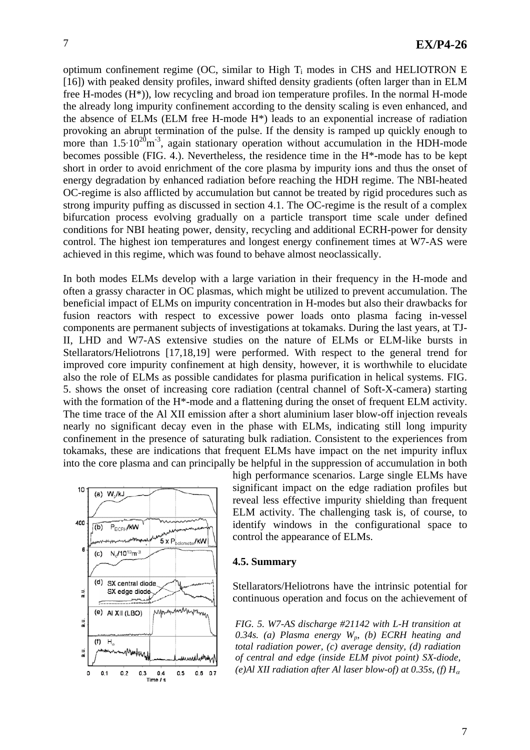optimum confinement regime (OC, similar to High  $T_i$  modes in CHS and HELIOTRON E [16]) with peaked density profiles, inward shifted density gradients (often larger than in ELM free H-modes (H\*)), low recycling and broad ion temperature profiles. In the normal H-mode the already long impurity confinement according to the density scaling is even enhanced, and the absence of ELMs (ELM free H-mode H\*) leads to an exponential increase of radiation provoking an abrupt termination of the pulse. If the density is ramped up quickly enough to more than  $1.5 \cdot 10^{20}$ m<sup>-3</sup>, again stationary operation without accumulation in the HDH-mode becomes possible (FIG. 4.). Nevertheless, the residence time in the H\*-mode has to be kept short in order to avoid enrichment of the core plasma by impurity ions and thus the onset of energy degradation by enhanced radiation before reaching the HDH regime. The NBI-heated OC-regime is also afflicted by accumulation but cannot be treated by rigid procedures such as strong impurity puffing as discussed in section 4.1. The OC-regime is the result of a complex bifurcation process evolving gradually on a particle transport time scale under defined conditions for NBI heating power, density, recycling and additional ECRH-power for density control. The highest ion temperatures and longest energy confinement times at W7-AS were achieved in this regime, which was found to behave almost neoclassically.

In both modes ELMs develop with a large variation in their frequency in the H-mode and often a grassy character in OC plasmas, which might be utilized to prevent accumulation. The beneficial impact of ELMs on impurity concentration in H-modes but also their drawbacks for fusion reactors with respect to excessive power loads onto plasma facing in-vessel components are permanent subjects of investigations at tokamaks. During the last years, at TJ-II, LHD and W7-AS extensive studies on the nature of ELMs or ELM-like bursts in Stellarators/Heliotrons [17,18,19] were performed. With respect to the general trend for improved core impurity confinement at high density, however, it is worthwhile to elucidate also the role of ELMs as possible candidates for plasma purification in helical systems. FIG. 5. shows the onset of increasing core radiation (central channel of Soft-X-camera) starting with the formation of the H<sup>\*</sup>-mode and a flattening during the onset of frequent ELM activity. The time trace of the Al XII emission after a short aluminium laser blow-off injection reveals nearly no significant decay even in the phase with ELMs, indicating still long impurity confinement in the presence of saturating bulk radiation. Consistent to the experiences from tokamaks, these are indications that frequent ELMs have impact on the net impurity influx into the core plasma and can principally be helpful in the suppression of accumulation in both



high performance scenarios. Large single ELMs have significant impact on the edge radiation profiles but reveal less effective impurity shielding than frequent ELM activity. The challenging task is, of course, to identify windows in the configurational space to control the appearance of ELMs.

### **4.5. Summary**

Stellarators/Heliotrons have the intrinsic potential for continuous operation and focus on the achievement of

*FIG. 5. W7-AS discharge #21142 with L-H transition at 0.34s. (a) Plasma energy Wp, (b) ECRH heating and total radiation power, (c) average density, (d) radiation of central and edge (inside ELM pivot point) SX-diode, (e)Al XII radiation after Al laser blow-of) at 0.35s, (f)*  $H_a$